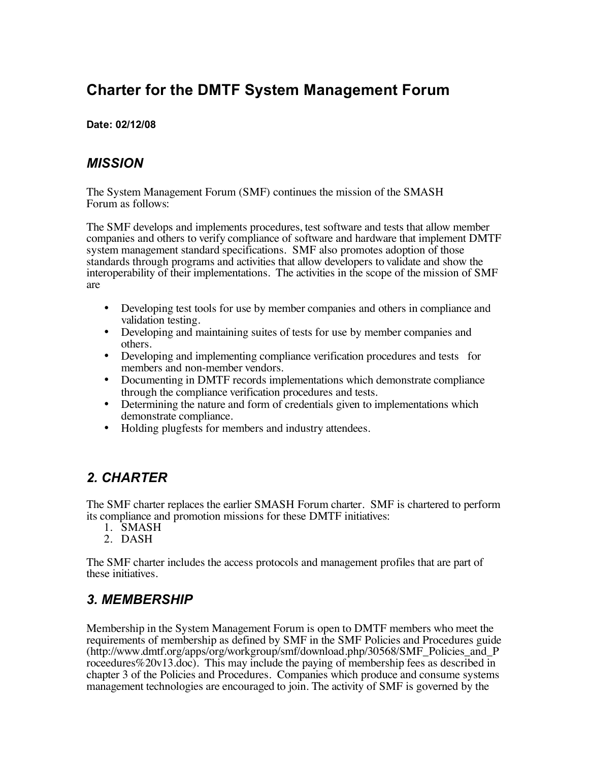# **Charter for the DMTF System Management Forum**

#### **Date: 02/12/08**

#### *MISSION*

The System Management Forum (SMF) continues the mission of the SMASH Forum as follows:

The SMF develops and implements procedures, test software and tests that allow member companies and others to verify compliance of software and hardware that implement DMTF system management standard specifications. SMF also promotes adoption of those standards through programs and activities that allow developers to validate and show the interoperability of their implementations. The activities in the scope of the mission of SMF are

- Developing test tools for use by member companies and others in compliance and validation testing.
- Developing and maintaining suites of tests for use by member companies and others.
- Developing and implementing compliance verification procedures and tests for members and non-member vendors.
- Documenting in DMTF records implementations which demonstrate compliance through the compliance verification procedures and tests.
- Determining the nature and form of credentials given to implementations which demonstrate compliance.
- Holding plugfests for members and industry attendees.

## *2. CHARTER*

The SMF charter replaces the earlier SMASH Forum charter. SMF is chartered to perform its compliance and promotion missions for these DMTF initiatives:

- 1. SMASH
- 2. DASH

The SMF charter includes the access protocols and management profiles that are part of these initiatives.

## *3. MEMBERSHIP*

Membership in the System Management Forum is open to DMTF members who meet the requirements of membership as defined by SMF in the SMF Policies and Procedures guide (http://www.dmtf.org/apps/org/workgroup/smf/download.php/30568/SMF\_Policies\_and\_P roceedures%20v13.doc). This may include the paying of membership fees as described in chapter 3 of the Policies and Procedures. Companies which produce and consume systems management technologies are encouraged to join. The activity of SMF is governed by the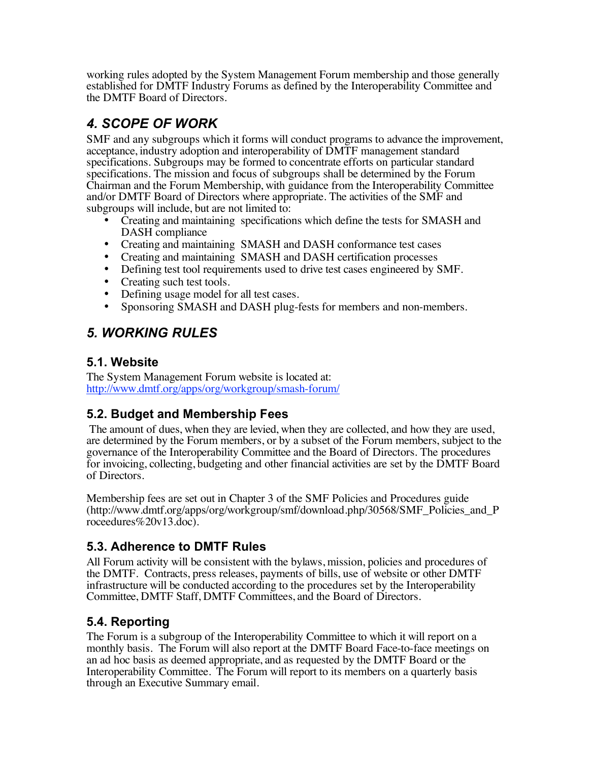working rules adopted by the System Management Forum membership and those generally established for DMTF Industry Forums as defined by the Interoperability Committee and the DMTF Board of Directors.

## *4. SCOPE OF WORK*

SMF and any subgroups which it forms will conduct programs to advance the improvement, acceptance, industry adoption and interoperability of DMTF management standard specifications. Subgroups may be formed to concentrate efforts on particular standard specifications. The mission and focus of subgroups shall be determined by the Forum Chairman and the Forum Membership, with guidance from the Interoperability Committee and/or DMTF Board of Directors where appropriate. The activities of the SMF and subgroups will include, but are not limited to:

- Creating and maintaining specifications which define the tests for SMASH and DASH compliance
- Creating and maintaining SMASH and DASH conformance test cases
- Creating and maintaining SMASH and DASH certification processes
- Defining test tool requirements used to drive test cases engineered by SMF.
- Creating such test tools.
- Defining usage model for all test cases.<br>• Sponsoring SMASH and DASH plug-f
- Sponsoring SMASH and DASH plug-fests for members and non-members.

## *5. WORKING RULES*

#### **5.1. Website**

The System Management Forum website is located at: http://www.dmtf.org/apps/org/workgroup/smash-forum/

### **5.2. Budget and Membership Fees**

The amount of dues, when they are levied, when they are collected, and how they are used, are determined by the Forum members, or by a subset of the Forum members, subject to the governance of the Interoperability Committee and the Board of Directors. The procedures for invoicing, collecting, budgeting and other financial activities are set by the DMTF Board of Directors.

Membership fees are set out in Chapter 3 of the SMF Policies and Procedures guide (http://www.dmtf.org/apps/org/workgroup/smf/download.php/30568/SMF\_Policies\_and\_P roceedures%20v13.doc).

### **5.3. Adherence to DMTF Rules**

All Forum activity will be consistent with the bylaws, mission, policies and procedures of the DMTF. Contracts, press releases, payments of bills, use of website or other DMTF infrastructure will be conducted according to the procedures set by the Interoperability Committee, DMTF Staff, DMTF Committees, and the Board of Directors.

### **5.4. Reporting**

The Forum is a subgroup of the Interoperability Committee to which it will report on a monthly basis. The Forum will also report at the DMTF Board Face-to-face meetings on an ad hoc basis as deemed appropriate, and as requested by the DMTF Board or the Interoperability Committee. The Forum will report to its members on a quarterly basis through an Executive Summary email.